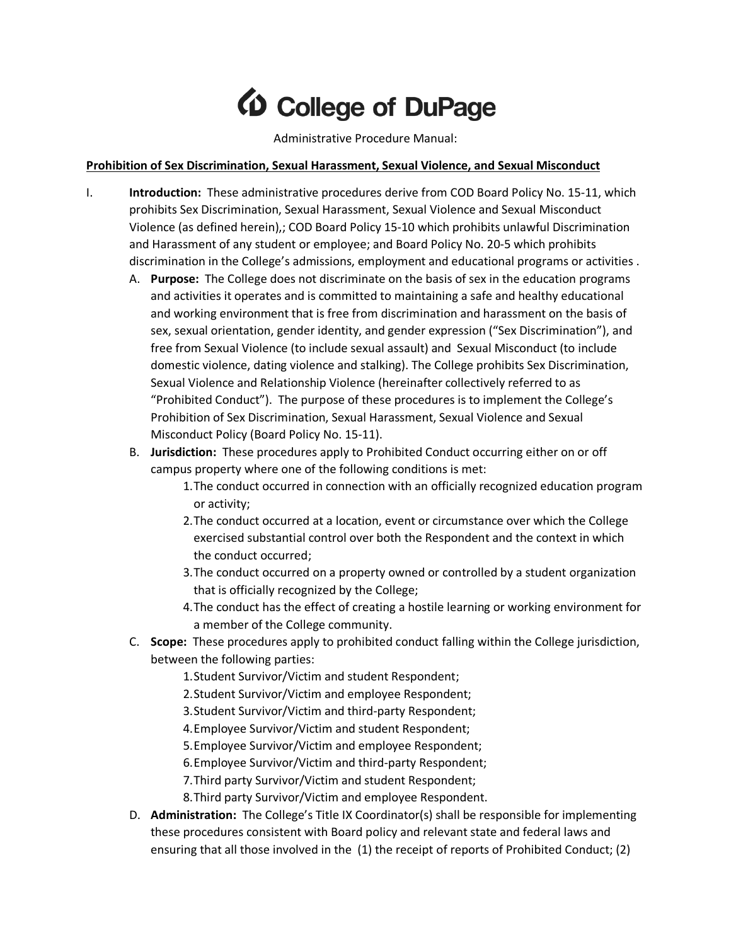# **10 College of DuPage**

Administrative Procedure Manual:

### **Prohibition of Sex Discrimination, Sexual Harassment, Sexual Violence, and Sexual Misconduct**

- I. **Introduction:** These administrative procedures derive from COD Board Policy No. 15-11, which prohibits Sex Discrimination, Sexual Harassment, Sexual Violence and Sexual Misconduct Violence (as defined herein),; COD Board Policy 15-10 which prohibits unlawful Discrimination and Harassment of any student or employee; and Board Policy No. 20-5 which prohibits discrimination in the College's admissions, employment and educational programs or activities .
	- A. **Purpose:** The College does not discriminate on the basis of sex in the education programs and activities it operates and is committed to maintaining a safe and healthy educational and working environment that is free from discrimination and harassment on the basis of sex, sexual orientation, gender identity, and gender expression ("Sex Discrimination"), and free from Sexual Violence (to include sexual assault) and Sexual Misconduct (to include domestic violence, dating violence and stalking). The College prohibits Sex Discrimination, Sexual Violence and Relationship Violence (hereinafter collectively referred to as "Prohibited Conduct"). The purpose of these procedures is to implement the College's Prohibition of Sex Discrimination, Sexual Harassment, Sexual Violence and Sexual Misconduct Policy (Board Policy No. 15-11).
	- B. **Jurisdiction:** These procedures apply to Prohibited Conduct occurring either on or off campus property where one of the following conditions is met:
		- 1.The conduct occurred in connection with an officially recognized education program or activity;
		- 2.The conduct occurred at a location, event or circumstance over which the College exercised substantial control over both the Respondent and the context in which the conduct occurred;
		- 3.The conduct occurred on a property owned or controlled by a student organization that is officially recognized by the College;
		- 4.The conduct has the effect of creating a hostile learning or working environment for a member of the College community.
	- C. **Scope:** These procedures apply to prohibited conduct falling within the College jurisdiction, between the following parties:
		- 1.Student Survivor/Victim and student Respondent;
		- 2.Student Survivor/Victim and employee Respondent;
		- 3.Student Survivor/Victim and third-party Respondent;
		- 4.Employee Survivor/Victim and student Respondent;
		- 5.Employee Survivor/Victim and employee Respondent;
		- 6.Employee Survivor/Victim and third-party Respondent;
		- 7.Third party Survivor/Victim and student Respondent;
		- 8.Third party Survivor/Victim and employee Respondent.
	- D. **Administration:** The College's Title IX Coordinator(s) shall be responsible for implementing these procedures consistent with Board policy and relevant state and federal laws and ensuring that all those involved in the (1) the receipt of reports of Prohibited Conduct; (2)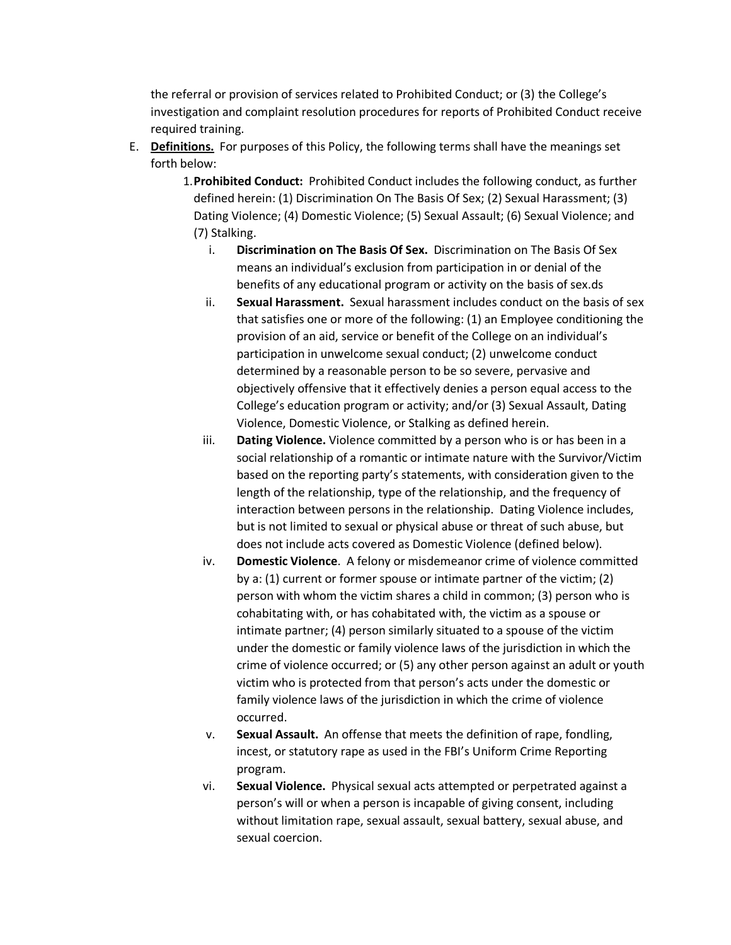the referral or provision of services related to Prohibited Conduct; or (3) the College's investigation and complaint resolution procedures for reports of Prohibited Conduct receive required training.

- E. **Definitions.** For purposes of this Policy, the following terms shall have the meanings set forth below:
	- 1.**Prohibited Conduct:** Prohibited Conduct includes the following conduct, as further defined herein: (1) Discrimination On The Basis Of Sex; (2) Sexual Harassment; (3) Dating Violence; (4) Domestic Violence; (5) Sexual Assault; (6) Sexual Violence; and (7) Stalking.
		- i. **Discrimination on The Basis Of Sex.** Discrimination on The Basis Of Sex means an individual's exclusion from participation in or denial of the benefits of any educational program or activity on the basis of sex.ds
		- ii. **Sexual Harassment.** Sexual harassment includes conduct on the basis of sex that satisfies one or more of the following: (1) an Employee conditioning the provision of an aid, service or benefit of the College on an individual's participation in unwelcome sexual conduct; (2) unwelcome conduct determined by a reasonable person to be so severe, pervasive and objectively offensive that it effectively denies a person equal access to the College's education program or activity; and/or (3) Sexual Assault, Dating Violence, Domestic Violence, or Stalking as defined herein.
		- iii. **Dating Violence.** Violence committed by a person who is or has been in a social relationship of a romantic or intimate nature with the Survivor/Victim based on the reporting party's statements, with consideration given to the length of the relationship, type of the relationship, and the frequency of interaction between persons in the relationship. Dating Violence includes, but is not limited to sexual or physical abuse or threat of such abuse, but does not include acts covered as Domestic Violence (defined below).
		- iv. **Domestic Violence**. A felony or misdemeanor crime of violence committed by a: (1) current or former spouse or intimate partner of the victim; (2) person with whom the victim shares a child in common; (3) person who is cohabitating with, or has cohabitated with, the victim as a spouse or intimate partner; (4) person similarly situated to a spouse of the victim under the domestic or family violence laws of the jurisdiction in which the crime of violence occurred; or (5) any other person against an adult or youth victim who is protected from that person's acts under the domestic or family violence laws of the jurisdiction in which the crime of violence occurred.
		- v. **Sexual Assault.** An offense that meets the definition of rape, fondling, incest, or statutory rape as used in the FBI's Uniform Crime Reporting program.
		- vi. **Sexual Violence.** Physical sexual acts attempted or perpetrated against a person's will or when a person is incapable of giving consent, including without limitation rape, sexual assault, sexual battery, sexual abuse, and sexual coercion.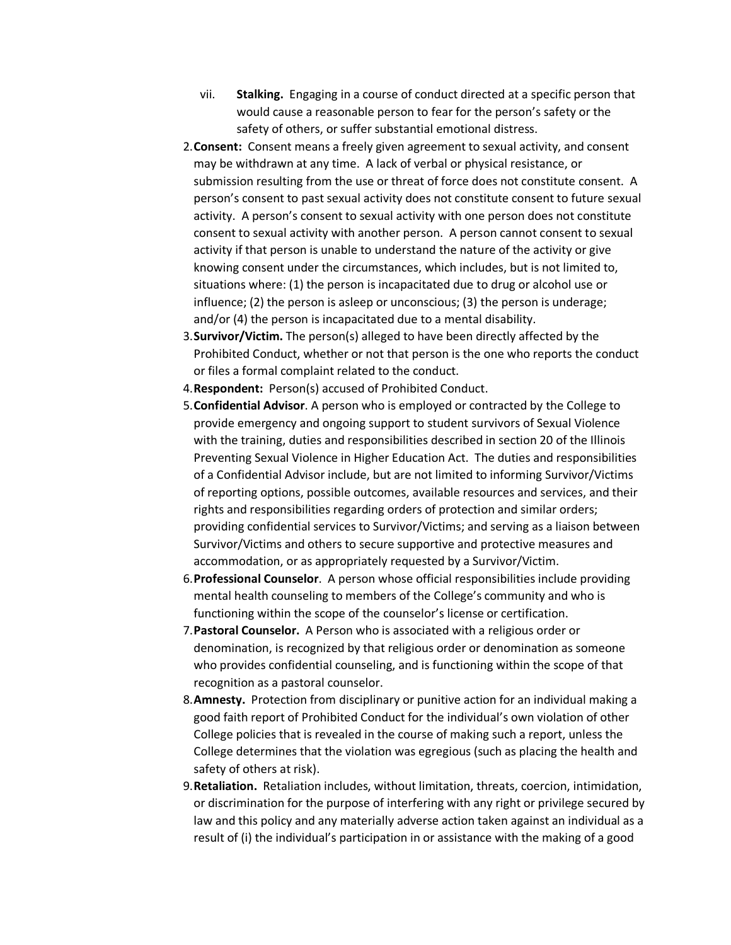- vii. **Stalking.** Engaging in a course of conduct directed at a specific person that would cause a reasonable person to fear for the person's safety or the safety of others, or suffer substantial emotional distress.
- 2.**Consent:** Consent means a freely given agreement to sexual activity, and consent may be withdrawn at any time. A lack of verbal or physical resistance, or submission resulting from the use or threat of force does not constitute consent. A person's consent to past sexual activity does not constitute consent to future sexual activity. A person's consent to sexual activity with one person does not constitute consent to sexual activity with another person. A person cannot consent to sexual activity if that person is unable to understand the nature of the activity or give knowing consent under the circumstances, which includes, but is not limited to, situations where: (1) the person is incapacitated due to drug or alcohol use or influence; (2) the person is asleep or unconscious; (3) the person is underage; and/or (4) the person is incapacitated due to a mental disability.
- 3.**Survivor/Victim.** The person(s) alleged to have been directly affected by the Prohibited Conduct, whether or not that person is the one who reports the conduct or files a formal complaint related to the conduct.
- 4.**Respondent:** Person(s) accused of Prohibited Conduct.
- 5.**Confidential Advisor**. A person who is employed or contracted by the College to provide emergency and ongoing support to student survivors of Sexual Violence with the training, duties and responsibilities described in section 20 of the Illinois Preventing Sexual Violence in Higher Education Act. The duties and responsibilities of a Confidential Advisor include, but are not limited to informing Survivor/Victims of reporting options, possible outcomes, available resources and services, and their rights and responsibilities regarding orders of protection and similar orders; providing confidential services to Survivor/Victims; and serving as a liaison between Survivor/Victims and others to secure supportive and protective measures and accommodation, or as appropriately requested by a Survivor/Victim.
- 6.**Professional Counselor**. A person whose official responsibilities include providing mental health counseling to members of the College's community and who is functioning within the scope of the counselor's license or certification.
- 7.**Pastoral Counselor.** A Person who is associated with a religious order or denomination, is recognized by that religious order or denomination as someone who provides confidential counseling, and is functioning within the scope of that recognition as a pastoral counselor.
- 8.**Amnesty.** Protection from disciplinary or punitive action for an individual making a good faith report of Prohibited Conduct for the individual's own violation of other College policies that is revealed in the course of making such a report, unless the College determines that the violation was egregious (such as placing the health and safety of others at risk).
- 9.**Retaliation.** Retaliation includes, without limitation, threats, coercion, intimidation, or discrimination for the purpose of interfering with any right or privilege secured by law and this policy and any materially adverse action taken against an individual as a result of (i) the individual's participation in or assistance with the making of a good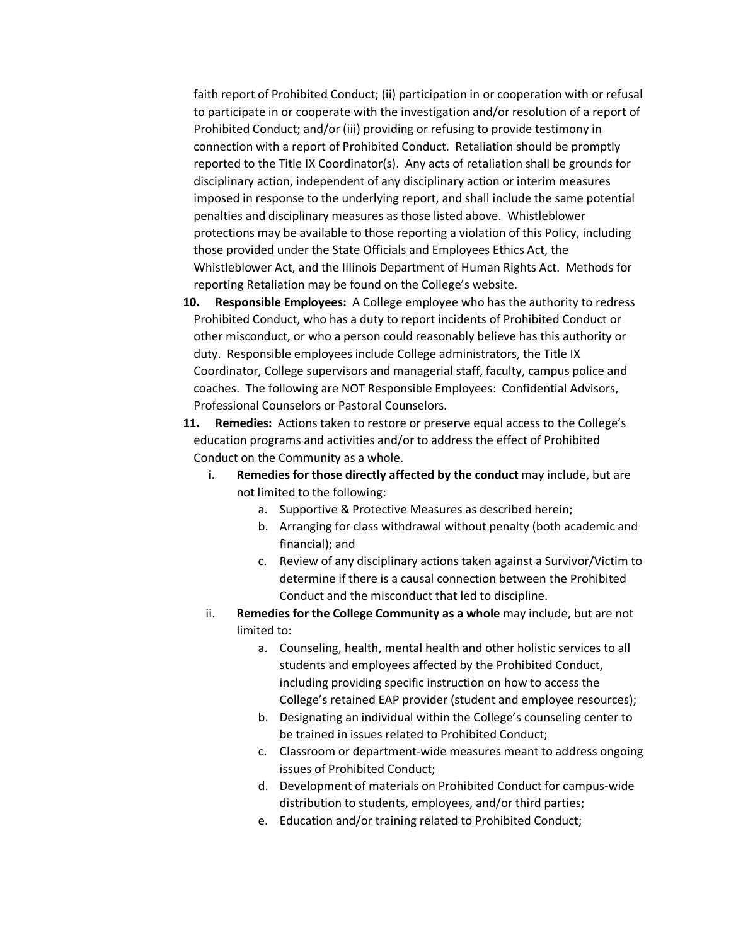faith report of Prohibited Conduct; (ii) participation in or cooperation with or refusal to participate in or cooperate with the investigation and/or resolution of a report of Prohibited Conduct; and/or (iii) providing or refusing to provide testimony in connection with a report of Prohibited Conduct. Retaliation should be promptly reported to the Title IX Coordinator(s). Any acts of retaliation shall be grounds for disciplinary action, independent of any disciplinary action or interim measures imposed in response to the underlying report, and shall include the same potential penalties and disciplinary measures as those listed above. Whistleblower protections may be available to those reporting a violation of this Policy, including those provided under the State Officials and Employees Ethics Act, the Whistleblower Act, and the Illinois Department of Human Rights Act. Methods for reporting Retaliation may be found on the College's website.

- **10. Responsible Employees:** A College employee who has the authority to redress Prohibited Conduct, who has a duty to report incidents of Prohibited Conduct or other misconduct, or who a person could reasonably believe has this authority or duty. Responsible employees include College administrators, the Title IX Coordinator, College supervisors and managerial staff, faculty, campus police and coaches. The following are NOT Responsible Employees: Confidential Advisors, Professional Counselors or Pastoral Counselors.
- **11. Remedies:** Actions taken to restore or preserve equal access to the College's education programs and activities and/or to address the effect of Prohibited Conduct on the Community as a whole.
	- **i. Remedies for those directly affected by the conduct** may include, but are not limited to the following:
		- a. Supportive & Protective Measures as described herein;
		- b. Arranging for class withdrawal without penalty (both academic and financial); and
		- c. Review of any disciplinary actions taken against a Survivor/Victim to determine if there is a causal connection between the Prohibited Conduct and the misconduct that led to discipline.
	- ii. **Remedies for the College Community as a whole** may include, but are not limited to:
		- a. Counseling, health, mental health and other holistic services to all students and employees affected by the Prohibited Conduct, including providing specific instruction on how to access the College's retained EAP provider (student and employee resources);
		- b. Designating an individual within the College's counseling center to be trained in issues related to Prohibited Conduct;
		- c. Classroom or department-wide measures meant to address ongoing issues of Prohibited Conduct;
		- d. Development of materials on Prohibited Conduct for campus-wide distribution to students, employees, and/or third parties;
		- e. Education and/or training related to Prohibited Conduct;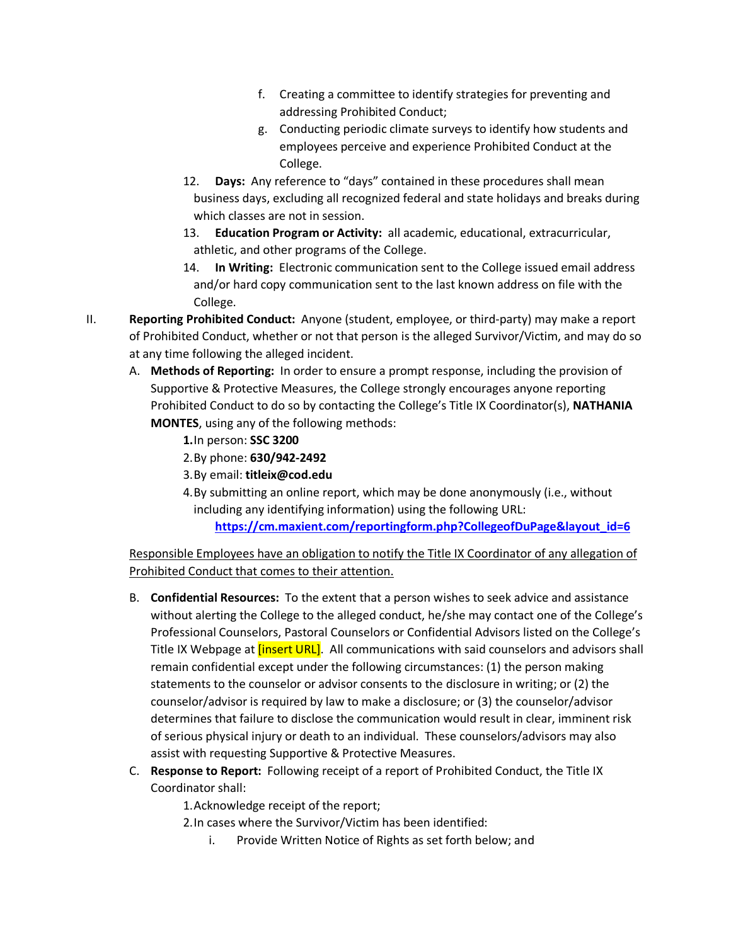- f. Creating a committee to identify strategies for preventing and addressing Prohibited Conduct;
- g. Conducting periodic climate surveys to identify how students and employees perceive and experience Prohibited Conduct at the College.
- 12. **Days:** Any reference to "days" contained in these procedures shall mean business days, excluding all recognized federal and state holidays and breaks during which classes are not in session.
- 13. **Education Program or Activity:** all academic, educational, extracurricular, athletic, and other programs of the College.
- 14. **In Writing:** Electronic communication sent to the College issued email address and/or hard copy communication sent to the last known address on file with the College.
- II. **Reporting Prohibited Conduct:** Anyone (student, employee, or third-party) may make a report of Prohibited Conduct, whether or not that person is the alleged Survivor/Victim, and may do so at any time following the alleged incident.
	- A. **Methods of Reporting:** In order to ensure a prompt response, including the provision of Supportive & Protective Measures, the College strongly encourages anyone reporting Prohibited Conduct to do so by contacting the College's Title IX Coordinator(s), **NATHANIA MONTES**, using any of the following methods:
		- **1.**In person: **SSC 3200**
		- 2.By phone: **630/942-2492**
		- 3.By email: **titleix@cod.edu**
		- 4.By submitting an online report, which may be done anonymously (i.e., without including any identifying information) using the following URL:

**https://cm.maxient.com/reportingform.php?CollegeofDuPage&layout\_id=6**

Responsible Employees have an obligation to notify the Title IX Coordinator of any allegation of Prohibited Conduct that comes to their attention.

- B. **Confidential Resources:** To the extent that a person wishes to seek advice and assistance without alerting the College to the alleged conduct, he/she may contact one of the College's Professional Counselors, Pastoral Counselors or Confidential Advisors listed on the College's Title IX Webpage at *[insert URL]*. All communications with said counselors and advisors shall remain confidential except under the following circumstances: (1) the person making statements to the counselor or advisor consents to the disclosure in writing; or (2) the counselor/advisor is required by law to make a disclosure; or (3) the counselor/advisor determines that failure to disclose the communication would result in clear, imminent risk of serious physical injury or death to an individual. These counselors/advisors may also assist with requesting Supportive & Protective Measures.
- C. **Response to Report:** Following receipt of a report of Prohibited Conduct, the Title IX Coordinator shall:

1.Acknowledge receipt of the report;

- 2.In cases where the Survivor/Victim has been identified:
	- i. Provide Written Notice of Rights as set forth below; and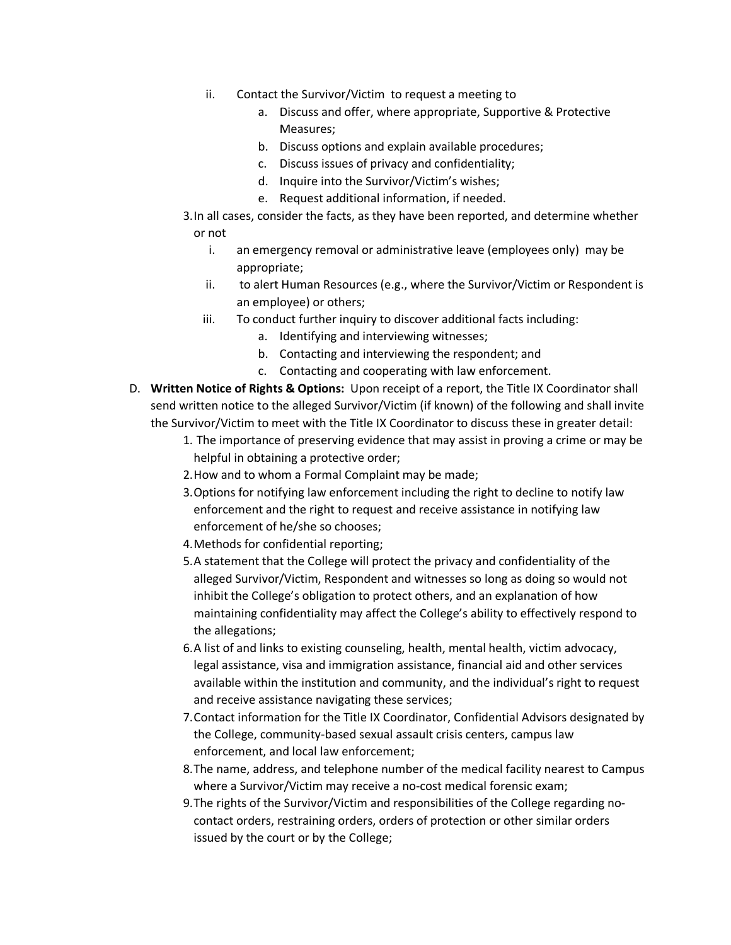- ii. Contact the Survivor/Victim to request a meeting to
	- a. Discuss and offer, where appropriate, Supportive & Protective Measures;
	- b. Discuss options and explain available procedures;
	- c. Discuss issues of privacy and confidentiality;
	- d. Inquire into the Survivor/Victim's wishes;
	- e. Request additional information, if needed.
- 3.In all cases, consider the facts, as they have been reported, and determine whether or not
	- i. an emergency removal or administrative leave (employees only) may be appropriate;
	- ii. to alert Human Resources (e.g., where the Survivor/Victim or Respondent is an employee) or others;
	- iii. To conduct further inquiry to discover additional facts including:
		- a. Identifying and interviewing witnesses;
		- b. Contacting and interviewing the respondent; and
		- c. Contacting and cooperating with law enforcement.
- D. **Written Notice of Rights & Options:** Upon receipt of a report, the Title IX Coordinator shall send written notice to the alleged Survivor/Victim (if known) of the following and shall invite the Survivor/Victim to meet with the Title IX Coordinator to discuss these in greater detail:
	- 1. The importance of preserving evidence that may assist in proving a crime or may be helpful in obtaining a protective order;
	- 2.How and to whom a Formal Complaint may be made;
	- 3.Options for notifying law enforcement including the right to decline to notify law enforcement and the right to request and receive assistance in notifying law enforcement of he/she so chooses;
	- 4.Methods for confidential reporting;
	- 5.A statement that the College will protect the privacy and confidentiality of the alleged Survivor/Victim, Respondent and witnesses so long as doing so would not inhibit the College's obligation to protect others, and an explanation of how maintaining confidentiality may affect the College's ability to effectively respond to the allegations;
	- 6.A list of and links to existing counseling, health, mental health, victim advocacy, legal assistance, visa and immigration assistance, financial aid and other services available within the institution and community, and the individual's right to request and receive assistance navigating these services;
	- 7.Contact information for the Title IX Coordinator, Confidential Advisors designated by the College, community-based sexual assault crisis centers, campus law enforcement, and local law enforcement;
	- 8.The name, address, and telephone number of the medical facility nearest to Campus where a Survivor/Victim may receive a no-cost medical forensic exam;
	- 9.The rights of the Survivor/Victim and responsibilities of the College regarding nocontact orders, restraining orders, orders of protection or other similar orders issued by the court or by the College;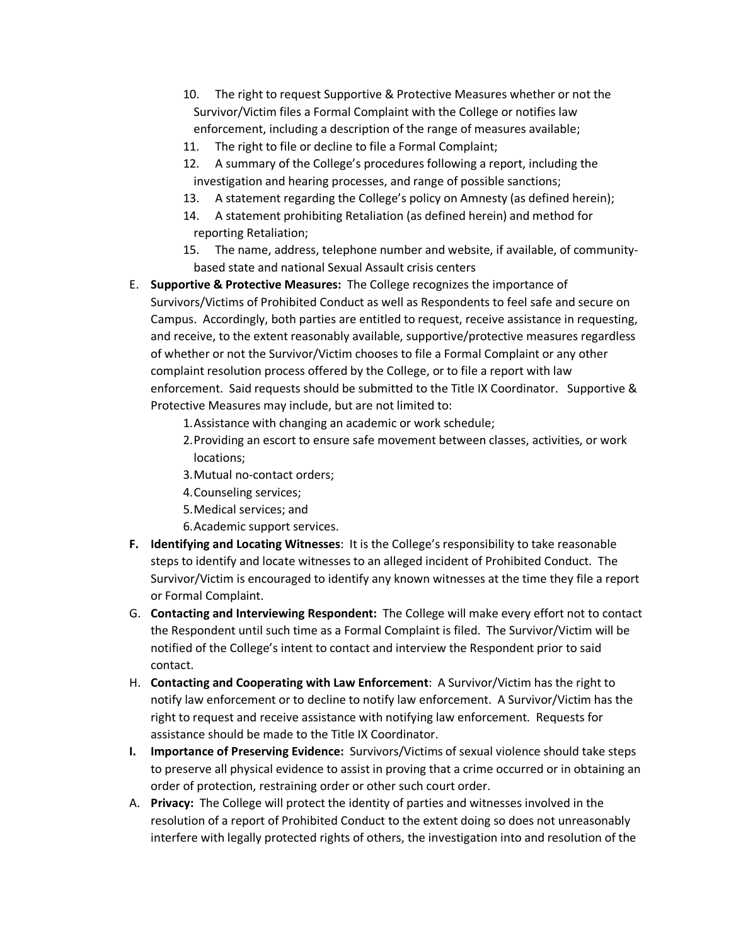- 10. The right to request Supportive & Protective Measures whether or not the Survivor/Victim files a Formal Complaint with the College or notifies law enforcement, including a description of the range of measures available;
- 11. The right to file or decline to file a Formal Complaint;
- 12. A summary of the College's procedures following a report, including the investigation and hearing processes, and range of possible sanctions;
- 13. A statement regarding the College's policy on Amnesty (as defined herein);
- 14. A statement prohibiting Retaliation (as defined herein) and method for reporting Retaliation;
- 15. The name, address, telephone number and website, if available, of communitybased state and national Sexual Assault crisis centers
- E. **Supportive & Protective Measures:** The College recognizes the importance of Survivors/Victims of Prohibited Conduct as well as Respondents to feel safe and secure on Campus. Accordingly, both parties are entitled to request, receive assistance in requesting, and receive, to the extent reasonably available, supportive/protective measures regardless of whether or not the Survivor/Victim chooses to file a Formal Complaint or any other complaint resolution process offered by the College, or to file a report with law enforcement. Said requests should be submitted to the Title IX Coordinator. Supportive & Protective Measures may include, but are not limited to:
	- 1.Assistance with changing an academic or work schedule;
	- 2.Providing an escort to ensure safe movement between classes, activities, or work locations;
	- 3.Mutual no-contact orders;
	- 4.Counseling services;
	- 5.Medical services; and
	- 6.Academic support services.
- **F. Identifying and Locating Witnesses**: It is the College's responsibility to take reasonable steps to identify and locate witnesses to an alleged incident of Prohibited Conduct. The Survivor/Victim is encouraged to identify any known witnesses at the time they file a report or Formal Complaint.
- G. **Contacting and Interviewing Respondent:** The College will make every effort not to contact the Respondent until such time as a Formal Complaint is filed. The Survivor/Victim will be notified of the College's intent to contact and interview the Respondent prior to said contact.
- H. **Contacting and Cooperating with Law Enforcement**: A Survivor/Victim has the right to notify law enforcement or to decline to notify law enforcement. A Survivor/Victim has the right to request and receive assistance with notifying law enforcement. Requests for assistance should be made to the Title IX Coordinator.
- **I. Importance of Preserving Evidence:** Survivors/Victims of sexual violence should take steps to preserve all physical evidence to assist in proving that a crime occurred or in obtaining an order of protection, restraining order or other such court order.
- A. **Privacy:** The College will protect the identity of parties and witnesses involved in the resolution of a report of Prohibited Conduct to the extent doing so does not unreasonably interfere with legally protected rights of others, the investigation into and resolution of the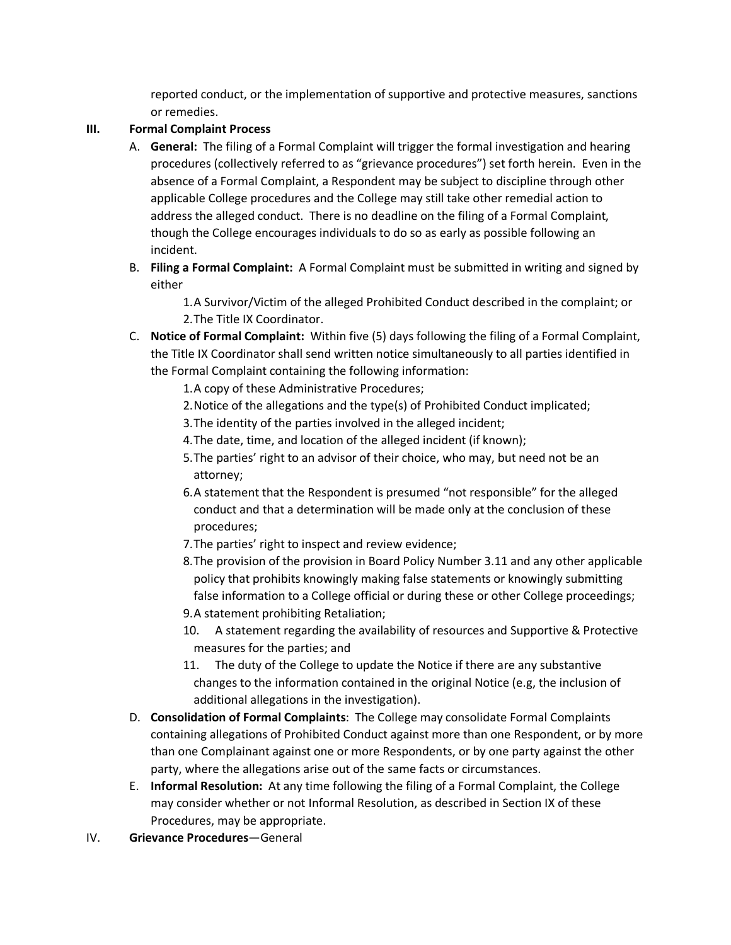reported conduct, or the implementation of supportive and protective measures, sanctions or remedies.

# **III. Formal Complaint Process**

- A. **General:** The filing of a Formal Complaint will trigger the formal investigation and hearing procedures (collectively referred to as "grievance procedures") set forth herein. Even in the absence of a Formal Complaint, a Respondent may be subject to discipline through other applicable College procedures and the College may still take other remedial action to address the alleged conduct. There is no deadline on the filing of a Formal Complaint, though the College encourages individuals to do so as early as possible following an incident.
- B. **Filing a Formal Complaint:** A Formal Complaint must be submitted in writing and signed by either

1.A Survivor/Victim of the alleged Prohibited Conduct described in the complaint; or 2.The Title IX Coordinator.

- C. **Notice of Formal Complaint:** Within five (5) days following the filing of a Formal Complaint, the Title IX Coordinator shall send written notice simultaneously to all parties identified in the Formal Complaint containing the following information:
	- 1.A copy of these Administrative Procedures;
	- 2.Notice of the allegations and the type(s) of Prohibited Conduct implicated;
	- 3.The identity of the parties involved in the alleged incident;
	- 4.The date, time, and location of the alleged incident (if known);
	- 5.The parties' right to an advisor of their choice, who may, but need not be an attorney;
	- 6.A statement that the Respondent is presumed "not responsible" for the alleged conduct and that a determination will be made only at the conclusion of these procedures;
	- 7.The parties' right to inspect and review evidence;
	- 8.The provision of the provision in Board Policy Number 3.11 and any other applicable policy that prohibits knowingly making false statements or knowingly submitting false information to a College official or during these or other College proceedings; 9.A statement prohibiting Retaliation;
	- 10. A statement regarding the availability of resources and Supportive & Protective measures for the parties; and
	- 11. The duty of the College to update the Notice if there are any substantive changes to the information contained in the original Notice (e.g, the inclusion of additional allegations in the investigation).
- D. **Consolidation of Formal Complaints**: The College may consolidate Formal Complaints containing allegations of Prohibited Conduct against more than one Respondent, or by more than one Complainant against one or more Respondents, or by one party against the other party, where the allegations arise out of the same facts or circumstances.
- E. **Informal Resolution:** At any time following the filing of a Formal Complaint, the College may consider whether or not Informal Resolution, as described in Section IX of these Procedures, may be appropriate.
- IV. **Grievance Procedures**—General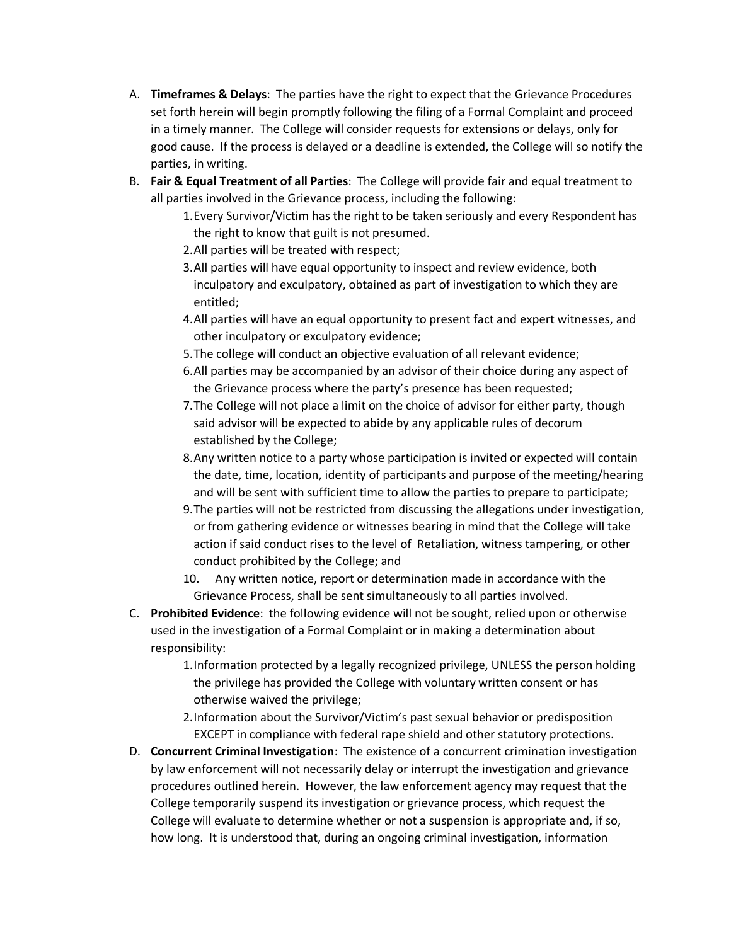- A. **Timeframes & Delays**: The parties have the right to expect that the Grievance Procedures set forth herein will begin promptly following the filing of a Formal Complaint and proceed in a timely manner. The College will consider requests for extensions or delays, only for good cause. If the process is delayed or a deadline is extended, the College will so notify the parties, in writing.
- B. **Fair & Equal Treatment of all Parties**: The College will provide fair and equal treatment to all parties involved in the Grievance process, including the following:
	- 1.Every Survivor/Victim has the right to be taken seriously and every Respondent has the right to know that guilt is not presumed.
	- 2.All parties will be treated with respect;
	- 3.All parties will have equal opportunity to inspect and review evidence, both inculpatory and exculpatory, obtained as part of investigation to which they are entitled;
	- 4.All parties will have an equal opportunity to present fact and expert witnesses, and other inculpatory or exculpatory evidence;
	- 5.The college will conduct an objective evaluation of all relevant evidence;
	- 6.All parties may be accompanied by an advisor of their choice during any aspect of the Grievance process where the party's presence has been requested;
	- 7.The College will not place a limit on the choice of advisor for either party, though said advisor will be expected to abide by any applicable rules of decorum established by the College;
	- 8.Any written notice to a party whose participation is invited or expected will contain the date, time, location, identity of participants and purpose of the meeting/hearing and will be sent with sufficient time to allow the parties to prepare to participate;
	- 9.The parties will not be restricted from discussing the allegations under investigation, or from gathering evidence or witnesses bearing in mind that the College will take action if said conduct rises to the level of Retaliation, witness tampering, or other conduct prohibited by the College; and
	- 10. Any written notice, report or determination made in accordance with the Grievance Process, shall be sent simultaneously to all parties involved.
- C. **Prohibited Evidence**: the following evidence will not be sought, relied upon or otherwise used in the investigation of a Formal Complaint or in making a determination about responsibility:
	- 1.Information protected by a legally recognized privilege, UNLESS the person holding the privilege has provided the College with voluntary written consent or has otherwise waived the privilege;
	- 2.Information about the Survivor/Victim's past sexual behavior or predisposition EXCEPT in compliance with federal rape shield and other statutory protections.
- D. **Concurrent Criminal Investigation**: The existence of a concurrent crimination investigation by law enforcement will not necessarily delay or interrupt the investigation and grievance procedures outlined herein. However, the law enforcement agency may request that the College temporarily suspend its investigation or grievance process, which request the College will evaluate to determine whether or not a suspension is appropriate and, if so, how long. It is understood that, during an ongoing criminal investigation, information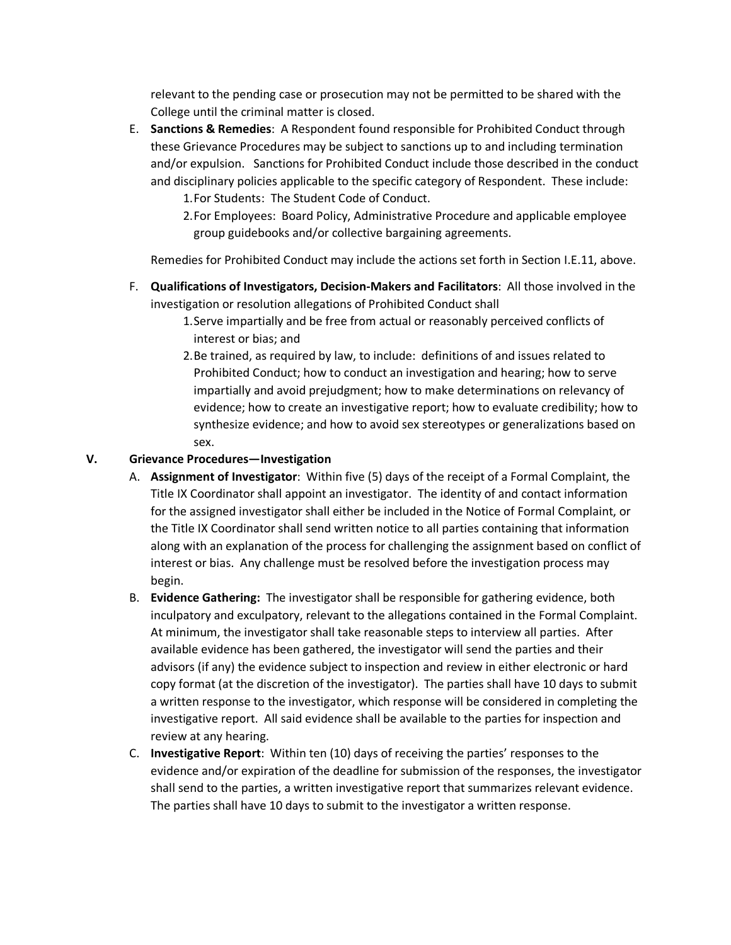relevant to the pending case or prosecution may not be permitted to be shared with the College until the criminal matter is closed.

- E. **Sanctions & Remedies**: A Respondent found responsible for Prohibited Conduct through these Grievance Procedures may be subject to sanctions up to and including termination and/or expulsion. Sanctions for Prohibited Conduct include those described in the conduct and disciplinary policies applicable to the specific category of Respondent. These include:
	- 1.For Students: The Student Code of Conduct.
	- 2.For Employees: Board Policy, Administrative Procedure and applicable employee group guidebooks and/or collective bargaining agreements.

Remedies for Prohibited Conduct may include the actions set forth in Section I.E.11, above.

- F. **Qualifications of Investigators, Decision-Makers and Facilitators**: All those involved in the investigation or resolution allegations of Prohibited Conduct shall
	- 1.Serve impartially and be free from actual or reasonably perceived conflicts of interest or bias; and
	- 2.Be trained, as required by law, to include: definitions of and issues related to Prohibited Conduct; how to conduct an investigation and hearing; how to serve impartially and avoid prejudgment; how to make determinations on relevancy of evidence; how to create an investigative report; how to evaluate credibility; how to synthesize evidence; and how to avoid sex stereotypes or generalizations based on sex.

## **V. Grievance Procedures—Investigation**

- A. **Assignment of Investigator**: Within five (5) days of the receipt of a Formal Complaint, the Title IX Coordinator shall appoint an investigator. The identity of and contact information for the assigned investigator shall either be included in the Notice of Formal Complaint, or the Title IX Coordinator shall send written notice to all parties containing that information along with an explanation of the process for challenging the assignment based on conflict of interest or bias. Any challenge must be resolved before the investigation process may begin.
- B. **Evidence Gathering:** The investigator shall be responsible for gathering evidence, both inculpatory and exculpatory, relevant to the allegations contained in the Formal Complaint. At minimum, the investigator shall take reasonable steps to interview all parties. After available evidence has been gathered, the investigator will send the parties and their advisors (if any) the evidence subject to inspection and review in either electronic or hard copy format (at the discretion of the investigator). The parties shall have 10 days to submit a written response to the investigator, which response will be considered in completing the investigative report. All said evidence shall be available to the parties for inspection and review at any hearing.
- C. **Investigative Report**: Within ten (10) days of receiving the parties' responses to the evidence and/or expiration of the deadline for submission of the responses, the investigator shall send to the parties, a written investigative report that summarizes relevant evidence. The parties shall have 10 days to submit to the investigator a written response.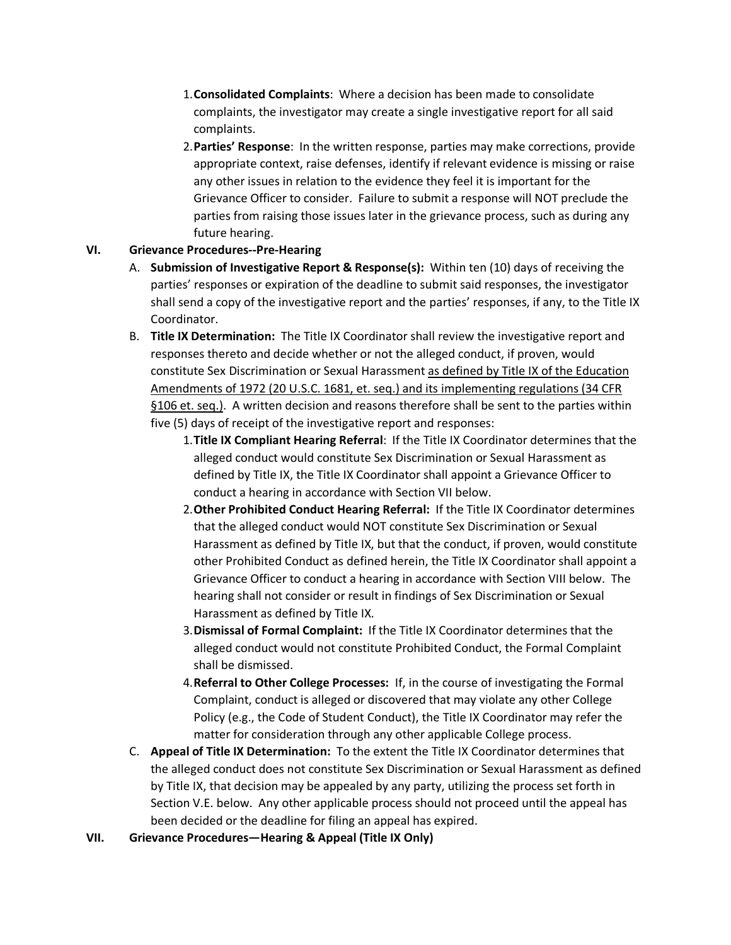- 1.**Consolidated Complaints**: Where a decision has been made to consolidate complaints, the investigator may create a single investigative report for all said complaints.
- 2.**Parties' Response**: In the written response, parties may make corrections, provide appropriate context, raise defenses, identify if relevant evidence is missing or raise any other issues in relation to the evidence they feel it is important for the Grievance Officer to consider. Failure to submit a response will NOT preclude the parties from raising those issues later in the grievance process, such as during any future hearing.

## **VI. Grievance Procedures--Pre-Hearing**

- A. **Submission of Investigative Report & Response(s):** Within ten (10) days of receiving the parties' responses or expiration of the deadline to submit said responses, the investigator shall send a copy of the investigative report and the parties' responses, if any, to the Title IX Coordinator.
- B. **Title IX Determination:** The Title IX Coordinator shall review the investigative report and responses thereto and decide whether or not the alleged conduct, if proven, would constitute Sex Discrimination or Sexual Harassment as defined by Title IX of the Education Amendments of 1972 (20 U.S.C. 1681, et. seq.) and its implementing regulations (34 CFR §106 et. seq.). A written decision and reasons therefore shall be sent to the parties within five (5) days of receipt of the investigative report and responses:
	- 1.**Title IX Compliant Hearing Referral**: If the Title IX Coordinator determines that the alleged conduct would constitute Sex Discrimination or Sexual Harassment as defined by Title IX, the Title IX Coordinator shall appoint a Grievance Officer to conduct a hearing in accordance with Section VII below.
	- 2.**Other Prohibited Conduct Hearing Referral:** If the Title IX Coordinator determines that the alleged conduct would NOT constitute Sex Discrimination or Sexual Harassment as defined by Title IX, but that the conduct, if proven, would constitute other Prohibited Conduct as defined herein, the Title IX Coordinator shall appoint a Grievance Officer to conduct a hearing in accordance with Section VIII below. The hearing shall not consider or result in findings of Sex Discrimination or Sexual Harassment as defined by Title IX.
	- 3.**Dismissal of Formal Complaint:** If the Title IX Coordinator determines that the alleged conduct would not constitute Prohibited Conduct, the Formal Complaint shall be dismissed.
	- 4.**Referral to Other College Processes:** If, in the course of investigating the Formal Complaint, conduct is alleged or discovered that may violate any other College Policy (e.g., the Code of Student Conduct), the Title IX Coordinator may refer the matter for consideration through any other applicable College process.
- C. **Appeal of Title IX Determination:** To the extent the Title IX Coordinator determines that the alleged conduct does not constitute Sex Discrimination or Sexual Harassment as defined by Title IX, that decision may be appealed by any party, utilizing the process set forth in Section V.E. below. Any other applicable process should not proceed until the appeal has been decided or the deadline for filing an appeal has expired.
- **VII. Grievance Procedures—Hearing & Appeal (Title IX Only)**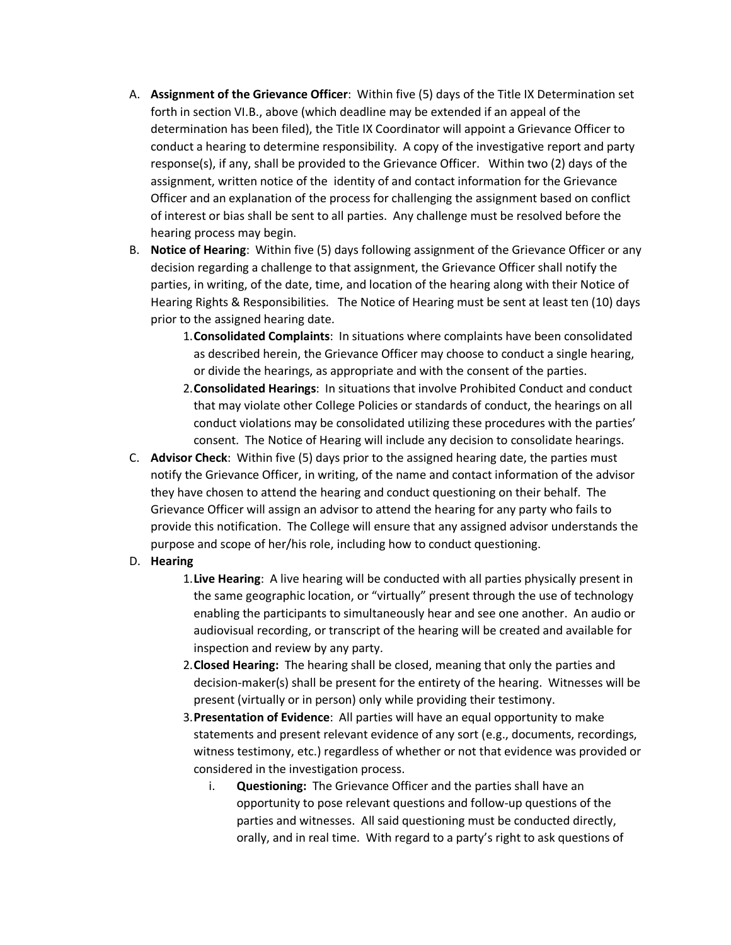- A. **Assignment of the Grievance Officer**: Within five (5) days of the Title IX Determination set forth in section VI.B., above (which deadline may be extended if an appeal of the determination has been filed), the Title IX Coordinator will appoint a Grievance Officer to conduct a hearing to determine responsibility. A copy of the investigative report and party response(s), if any, shall be provided to the Grievance Officer. Within two (2) days of the assignment, written notice of the identity of and contact information for the Grievance Officer and an explanation of the process for challenging the assignment based on conflict of interest or bias shall be sent to all parties. Any challenge must be resolved before the hearing process may begin.
- B. **Notice of Hearing**: Within five (5) days following assignment of the Grievance Officer or any decision regarding a challenge to that assignment, the Grievance Officer shall notify the parties, in writing, of the date, time, and location of the hearing along with their Notice of Hearing Rights & Responsibilities. The Notice of Hearing must be sent at least ten (10) days prior to the assigned hearing date.
	- 1.**Consolidated Complaints**: In situations where complaints have been consolidated as described herein, the Grievance Officer may choose to conduct a single hearing, or divide the hearings, as appropriate and with the consent of the parties.
	- 2.**Consolidated Hearings**: In situations that involve Prohibited Conduct and conduct that may violate other College Policies or standards of conduct, the hearings on all conduct violations may be consolidated utilizing these procedures with the parties' consent. The Notice of Hearing will include any decision to consolidate hearings.
- C. **Advisor Check**: Within five (5) days prior to the assigned hearing date, the parties must notify the Grievance Officer, in writing, of the name and contact information of the advisor they have chosen to attend the hearing and conduct questioning on their behalf. The Grievance Officer will assign an advisor to attend the hearing for any party who fails to provide this notification. The College will ensure that any assigned advisor understands the purpose and scope of her/his role, including how to conduct questioning.
- D. **Hearing**

1.**Live Hearing**: A live hearing will be conducted with all parties physically present in the same geographic location, or "virtually" present through the use of technology enabling the participants to simultaneously hear and see one another. An audio or audiovisual recording, or transcript of the hearing will be created and available for inspection and review by any party.

- 2.**Closed Hearing:** The hearing shall be closed, meaning that only the parties and decision-maker(s) shall be present for the entirety of the hearing. Witnesses will be present (virtually or in person) only while providing their testimony.
- 3.**Presentation of Evidence**: All parties will have an equal opportunity to make statements and present relevant evidence of any sort (e.g., documents, recordings, witness testimony, etc.) regardless of whether or not that evidence was provided or considered in the investigation process.
	- i. **Questioning:** The Grievance Officer and the parties shall have an opportunity to pose relevant questions and follow-up questions of the parties and witnesses. All said questioning must be conducted directly, orally, and in real time. With regard to a party's right to ask questions of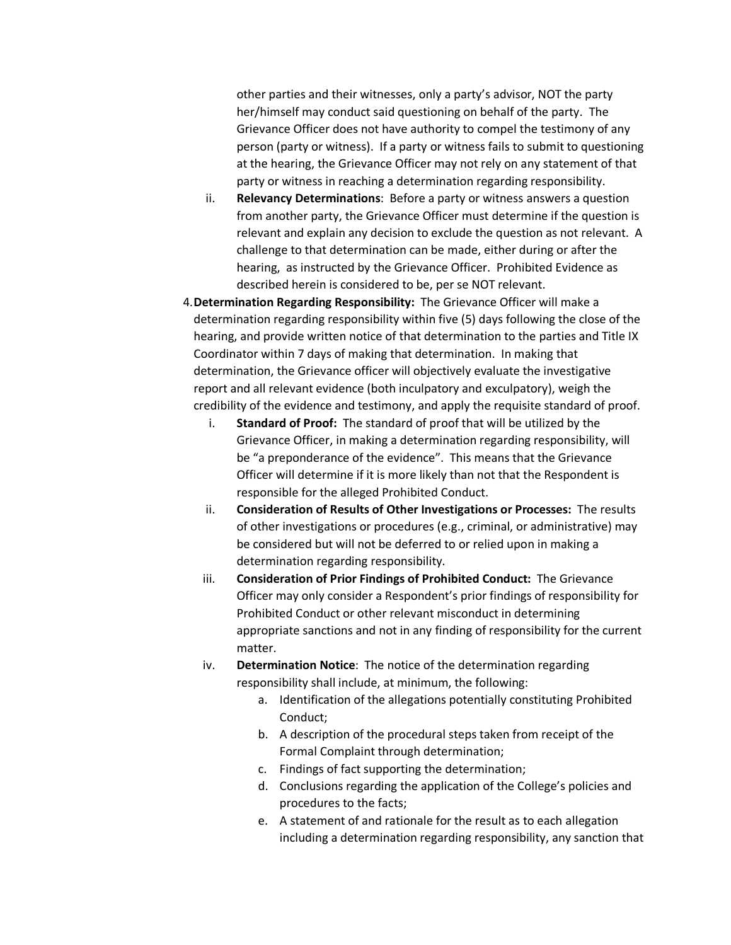other parties and their witnesses, only a party's advisor, NOT the party her/himself may conduct said questioning on behalf of the party. The Grievance Officer does not have authority to compel the testimony of any person (party or witness). If a party or witness fails to submit to questioning at the hearing, the Grievance Officer may not rely on any statement of that party or witness in reaching a determination regarding responsibility.

- ii. **Relevancy Determinations**: Before a party or witness answers a question from another party, the Grievance Officer must determine if the question is relevant and explain any decision to exclude the question as not relevant. A challenge to that determination can be made, either during or after the hearing, as instructed by the Grievance Officer. Prohibited Evidence as described herein is considered to be, per se NOT relevant.
- 4.**Determination Regarding Responsibility:** The Grievance Officer will make a determination regarding responsibility within five (5) days following the close of the hearing, and provide written notice of that determination to the parties and Title IX Coordinator within 7 days of making that determination. In making that determination, the Grievance officer will objectively evaluate the investigative report and all relevant evidence (both inculpatory and exculpatory), weigh the credibility of the evidence and testimony, and apply the requisite standard of proof.
	- i. **Standard of Proof:** The standard of proof that will be utilized by the Grievance Officer, in making a determination regarding responsibility, will be "a preponderance of the evidence". This means that the Grievance Officer will determine if it is more likely than not that the Respondent is responsible for the alleged Prohibited Conduct.
	- ii. **Consideration of Results of Other Investigations or Processes:** The results of other investigations or procedures (e.g., criminal, or administrative) may be considered but will not be deferred to or relied upon in making a determination regarding responsibility.
	- iii. **Consideration of Prior Findings of Prohibited Conduct:** The Grievance Officer may only consider a Respondent's prior findings of responsibility for Prohibited Conduct or other relevant misconduct in determining appropriate sanctions and not in any finding of responsibility for the current matter.
	- iv. **Determination Notice**: The notice of the determination regarding responsibility shall include, at minimum, the following:
		- a. Identification of the allegations potentially constituting Prohibited Conduct;
		- b. A description of the procedural steps taken from receipt of the Formal Complaint through determination;
		- c. Findings of fact supporting the determination;
		- d. Conclusions regarding the application of the College's policies and procedures to the facts;
		- e. A statement of and rationale for the result as to each allegation including a determination regarding responsibility, any sanction that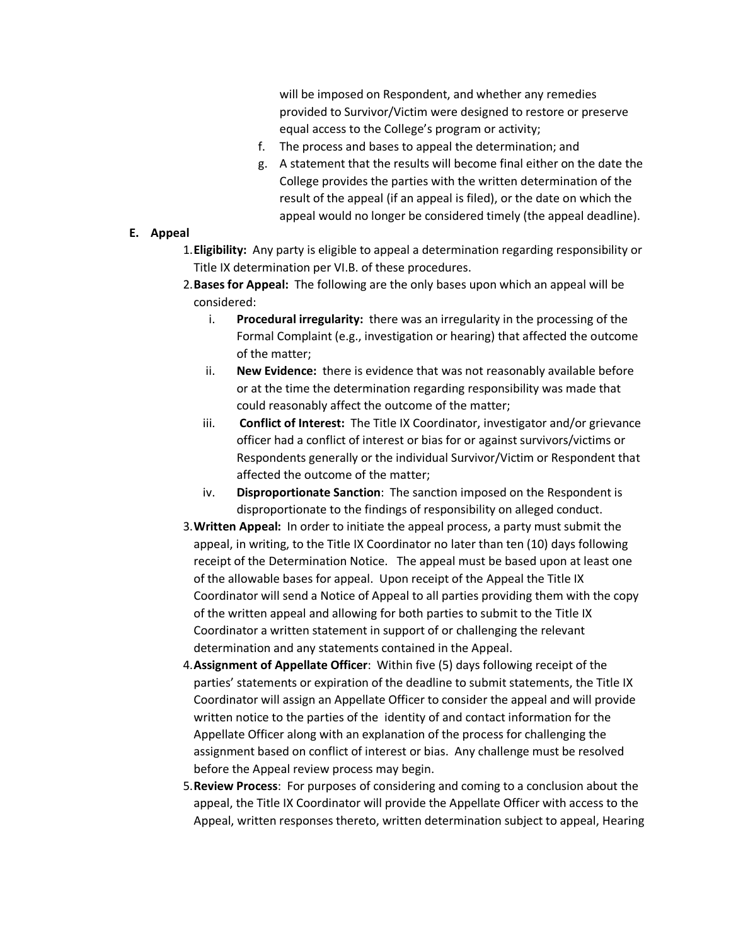will be imposed on Respondent, and whether any remedies provided to Survivor/Victim were designed to restore or preserve equal access to the College's program or activity;

- f. The process and bases to appeal the determination; and
- g. A statement that the results will become final either on the date the College provides the parties with the written determination of the result of the appeal (if an appeal is filed), or the date on which the appeal would no longer be considered timely (the appeal deadline).

## **E. Appeal**

- 1.**Eligibility:** Any party is eligible to appeal a determination regarding responsibility or Title IX determination per VI.B. of these procedures.
- 2.**Bases for Appeal:** The following are the only bases upon which an appeal will be considered:
	- i. **Procedural irregularity:** there was an irregularity in the processing of the Formal Complaint (e.g., investigation or hearing) that affected the outcome of the matter;
	- ii. **New Evidence:** there is evidence that was not reasonably available before or at the time the determination regarding responsibility was made that could reasonably affect the outcome of the matter;
	- iii. **Conflict of Interest:** The Title IX Coordinator, investigator and/or grievance officer had a conflict of interest or bias for or against survivors/victims or Respondents generally or the individual Survivor/Victim or Respondent that affected the outcome of the matter;
	- iv. **Disproportionate Sanction**: The sanction imposed on the Respondent is disproportionate to the findings of responsibility on alleged conduct.
- 3.**Written Appeal:** In order to initiate the appeal process, a party must submit the appeal, in writing, to the Title IX Coordinator no later than ten (10) days following receipt of the Determination Notice. The appeal must be based upon at least one of the allowable bases for appeal. Upon receipt of the Appeal the Title IX Coordinator will send a Notice of Appeal to all parties providing them with the copy of the written appeal and allowing for both parties to submit to the Title IX Coordinator a written statement in support of or challenging the relevant determination and any statements contained in the Appeal.
- 4.**Assignment of Appellate Officer**: Within five (5) days following receipt of the parties' statements or expiration of the deadline to submit statements, the Title IX Coordinator will assign an Appellate Officer to consider the appeal and will provide written notice to the parties of the identity of and contact information for the Appellate Officer along with an explanation of the process for challenging the assignment based on conflict of interest or bias. Any challenge must be resolved before the Appeal review process may begin.
- 5.**Review Process**: For purposes of considering and coming to a conclusion about the appeal, the Title IX Coordinator will provide the Appellate Officer with access to the Appeal, written responses thereto, written determination subject to appeal, Hearing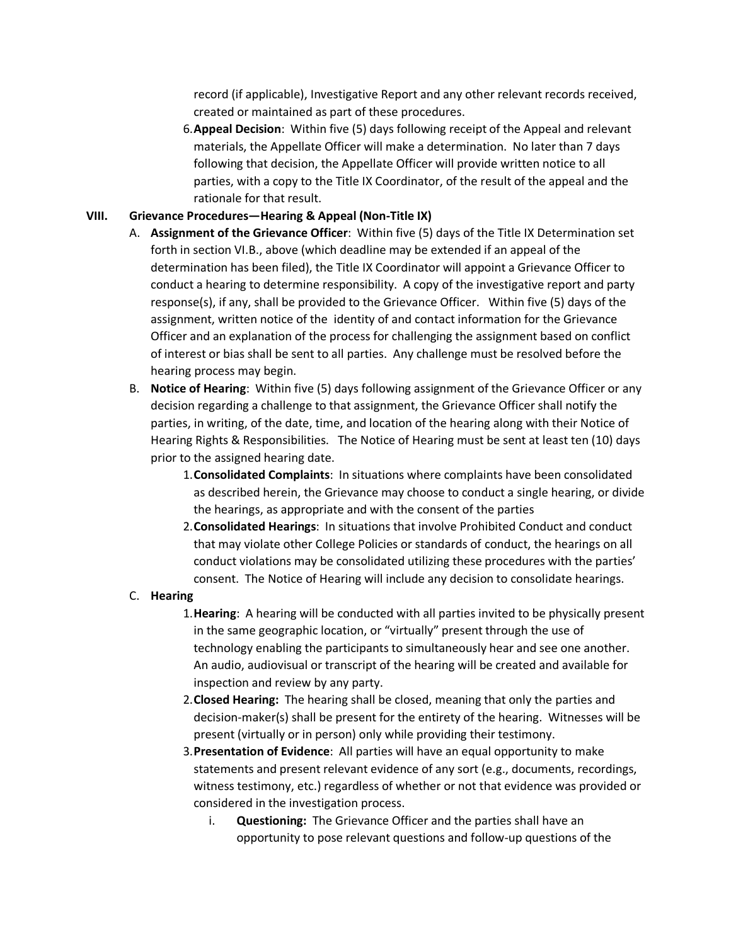record (if applicable), Investigative Report and any other relevant records received, created or maintained as part of these procedures.

6.**Appeal Decision**: Within five (5) days following receipt of the Appeal and relevant materials, the Appellate Officer will make a determination. No later than 7 days following that decision, the Appellate Officer will provide written notice to all parties, with a copy to the Title IX Coordinator, of the result of the appeal and the rationale for that result.

# **VIII. Grievance Procedures—Hearing & Appeal (Non-Title IX)**

- A. **Assignment of the Grievance Officer**: Within five (5) days of the Title IX Determination set forth in section VI.B., above (which deadline may be extended if an appeal of the determination has been filed), the Title IX Coordinator will appoint a Grievance Officer to conduct a hearing to determine responsibility. A copy of the investigative report and party response(s), if any, shall be provided to the Grievance Officer. Within five (5) days of the assignment, written notice of the identity of and contact information for the Grievance Officer and an explanation of the process for challenging the assignment based on conflict of interest or bias shall be sent to all parties. Any challenge must be resolved before the hearing process may begin.
- B. **Notice of Hearing**: Within five (5) days following assignment of the Grievance Officer or any decision regarding a challenge to that assignment, the Grievance Officer shall notify the parties, in writing, of the date, time, and location of the hearing along with their Notice of Hearing Rights & Responsibilities. The Notice of Hearing must be sent at least ten (10) days prior to the assigned hearing date.
	- 1.**Consolidated Complaints**: In situations where complaints have been consolidated as described herein, the Grievance may choose to conduct a single hearing, or divide the hearings, as appropriate and with the consent of the parties
	- 2.**Consolidated Hearings**: In situations that involve Prohibited Conduct and conduct that may violate other College Policies or standards of conduct, the hearings on all conduct violations may be consolidated utilizing these procedures with the parties' consent. The Notice of Hearing will include any decision to consolidate hearings.

## C. **Hearing**

- 1.**Hearing**: A hearing will be conducted with all parties invited to be physically present in the same geographic location, or "virtually" present through the use of technology enabling the participants to simultaneously hear and see one another. An audio, audiovisual or transcript of the hearing will be created and available for inspection and review by any party.
- 2.**Closed Hearing:** The hearing shall be closed, meaning that only the parties and decision-maker(s) shall be present for the entirety of the hearing. Witnesses will be present (virtually or in person) only while providing their testimony.
- 3.**Presentation of Evidence**: All parties will have an equal opportunity to make statements and present relevant evidence of any sort (e.g., documents, recordings, witness testimony, etc.) regardless of whether or not that evidence was provided or considered in the investigation process.
	- i. **Questioning:** The Grievance Officer and the parties shall have an opportunity to pose relevant questions and follow-up questions of the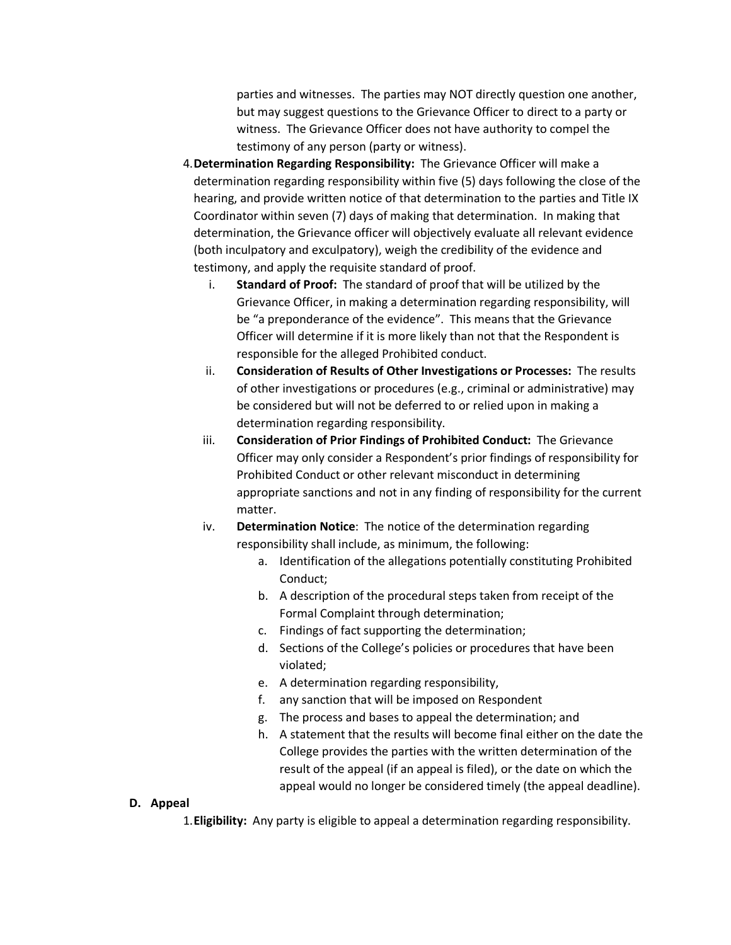parties and witnesses. The parties may NOT directly question one another, but may suggest questions to the Grievance Officer to direct to a party or witness. The Grievance Officer does not have authority to compel the testimony of any person (party or witness).

- 4.**Determination Regarding Responsibility:** The Grievance Officer will make a determination regarding responsibility within five (5) days following the close of the hearing, and provide written notice of that determination to the parties and Title IX Coordinator within seven (7) days of making that determination. In making that determination, the Grievance officer will objectively evaluate all relevant evidence (both inculpatory and exculpatory), weigh the credibility of the evidence and testimony, and apply the requisite standard of proof.
	- i. **Standard of Proof:** The standard of proof that will be utilized by the Grievance Officer, in making a determination regarding responsibility, will be "a preponderance of the evidence". This means that the Grievance Officer will determine if it is more likely than not that the Respondent is responsible for the alleged Prohibited conduct.
	- ii. **Consideration of Results of Other Investigations or Processes:** The results of other investigations or procedures (e.g., criminal or administrative) may be considered but will not be deferred to or relied upon in making a determination regarding responsibility.
	- iii. **Consideration of Prior Findings of Prohibited Conduct:** The Grievance Officer may only consider a Respondent's prior findings of responsibility for Prohibited Conduct or other relevant misconduct in determining appropriate sanctions and not in any finding of responsibility for the current matter.
	- iv. **Determination Notice**: The notice of the determination regarding responsibility shall include, as minimum, the following:
		- a. Identification of the allegations potentially constituting Prohibited Conduct;
		- b. A description of the procedural steps taken from receipt of the Formal Complaint through determination;
		- c. Findings of fact supporting the determination;
		- d. Sections of the College's policies or procedures that have been violated;
		- e. A determination regarding responsibility,
		- f. any sanction that will be imposed on Respondent
		- g. The process and bases to appeal the determination; and
		- h. A statement that the results will become final either on the date the College provides the parties with the written determination of the result of the appeal (if an appeal is filed), or the date on which the appeal would no longer be considered timely (the appeal deadline).

#### **D. Appeal**

1.**Eligibility:** Any party is eligible to appeal a determination regarding responsibility.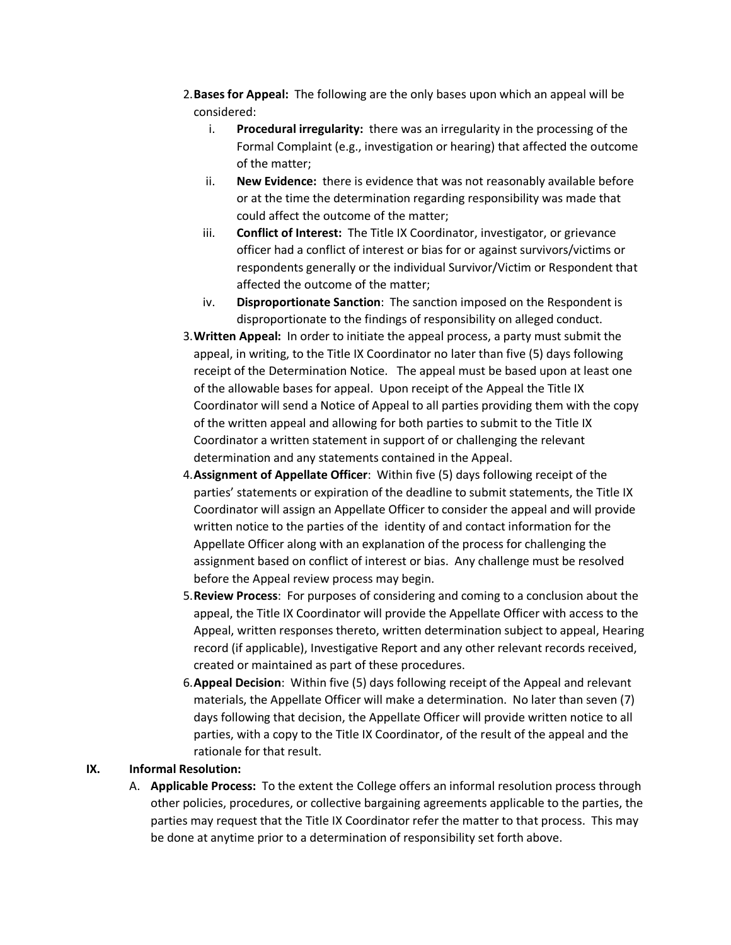- 2.**Bases for Appeal:** The following are the only bases upon which an appeal will be considered:
	- i. **Procedural irregularity:** there was an irregularity in the processing of the Formal Complaint (e.g., investigation or hearing) that affected the outcome of the matter;
	- ii. **New Evidence:** there is evidence that was not reasonably available before or at the time the determination regarding responsibility was made that could affect the outcome of the matter;
	- iii. **Conflict of Interest:** The Title IX Coordinator, investigator, or grievance officer had a conflict of interest or bias for or against survivors/victims or respondents generally or the individual Survivor/Victim or Respondent that affected the outcome of the matter;
	- iv. **Disproportionate Sanction**: The sanction imposed on the Respondent is disproportionate to the findings of responsibility on alleged conduct.
- 3.**Written Appeal:** In order to initiate the appeal process, a party must submit the appeal, in writing, to the Title IX Coordinator no later than five (5) days following receipt of the Determination Notice. The appeal must be based upon at least one of the allowable bases for appeal. Upon receipt of the Appeal the Title IX Coordinator will send a Notice of Appeal to all parties providing them with the copy of the written appeal and allowing for both parties to submit to the Title IX Coordinator a written statement in support of or challenging the relevant determination and any statements contained in the Appeal.
- 4.**Assignment of Appellate Officer**: Within five (5) days following receipt of the parties' statements or expiration of the deadline to submit statements, the Title IX Coordinator will assign an Appellate Officer to consider the appeal and will provide written notice to the parties of the identity of and contact information for the Appellate Officer along with an explanation of the process for challenging the assignment based on conflict of interest or bias. Any challenge must be resolved before the Appeal review process may begin.
- 5.**Review Process**: For purposes of considering and coming to a conclusion about the appeal, the Title IX Coordinator will provide the Appellate Officer with access to the Appeal, written responses thereto, written determination subject to appeal, Hearing record (if applicable), Investigative Report and any other relevant records received, created or maintained as part of these procedures.
- 6.**Appeal Decision**: Within five (5) days following receipt of the Appeal and relevant materials, the Appellate Officer will make a determination. No later than seven (7) days following that decision, the Appellate Officer will provide written notice to all parties, with a copy to the Title IX Coordinator, of the result of the appeal and the rationale for that result.

#### **IX. Informal Resolution:**

A. **Applicable Process:** To the extent the College offers an informal resolution process through other policies, procedures, or collective bargaining agreements applicable to the parties, the parties may request that the Title IX Coordinator refer the matter to that process. This may be done at anytime prior to a determination of responsibility set forth above.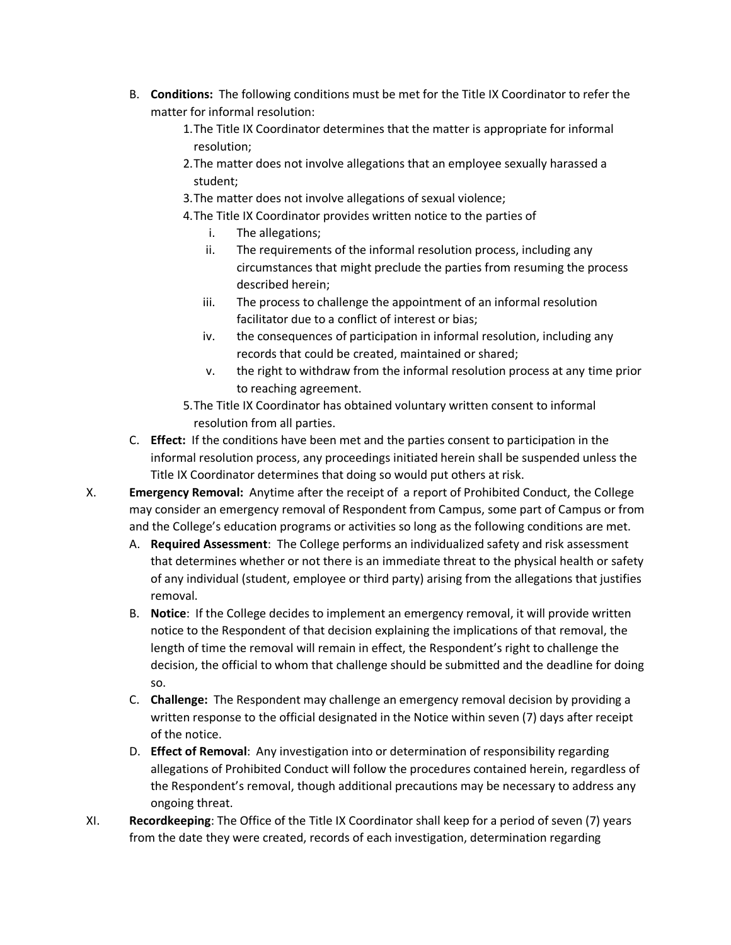- B. **Conditions:** The following conditions must be met for the Title IX Coordinator to refer the matter for informal resolution:
	- 1.The Title IX Coordinator determines that the matter is appropriate for informal resolution;
	- 2.The matter does not involve allegations that an employee sexually harassed a student;
	- 3.The matter does not involve allegations of sexual violence;
	- 4.The Title IX Coordinator provides written notice to the parties of
		- i. The allegations;
		- ii. The requirements of the informal resolution process, including any circumstances that might preclude the parties from resuming the process described herein;
		- iii. The process to challenge the appointment of an informal resolution facilitator due to a conflict of interest or bias;
		- iv. the consequences of participation in informal resolution, including any records that could be created, maintained or shared;
		- v. the right to withdraw from the informal resolution process at any time prior to reaching agreement.
	- 5.The Title IX Coordinator has obtained voluntary written consent to informal resolution from all parties.
- C. **Effect:** If the conditions have been met and the parties consent to participation in the informal resolution process, any proceedings initiated herein shall be suspended unless the Title IX Coordinator determines that doing so would put others at risk.
- X. **Emergency Removal:** Anytime after the receipt of a report of Prohibited Conduct, the College may consider an emergency removal of Respondent from Campus, some part of Campus or from and the College's education programs or activities so long as the following conditions are met.
	- A. **Required Assessment**: The College performs an individualized safety and risk assessment that determines whether or not there is an immediate threat to the physical health or safety of any individual (student, employee or third party) arising from the allegations that justifies removal.
	- B. **Notice**: If the College decides to implement an emergency removal, it will provide written notice to the Respondent of that decision explaining the implications of that removal, the length of time the removal will remain in effect, the Respondent's right to challenge the decision, the official to whom that challenge should be submitted and the deadline for doing so.
	- C. **Challenge:** The Respondent may challenge an emergency removal decision by providing a written response to the official designated in the Notice within seven (7) days after receipt of the notice.
	- D. **Effect of Removal**: Any investigation into or determination of responsibility regarding allegations of Prohibited Conduct will follow the procedures contained herein, regardless of the Respondent's removal, though additional precautions may be necessary to address any ongoing threat.
- XI. **Recordkeeping**: The Office of the Title IX Coordinator shall keep for a period of seven (7) years from the date they were created, records of each investigation, determination regarding